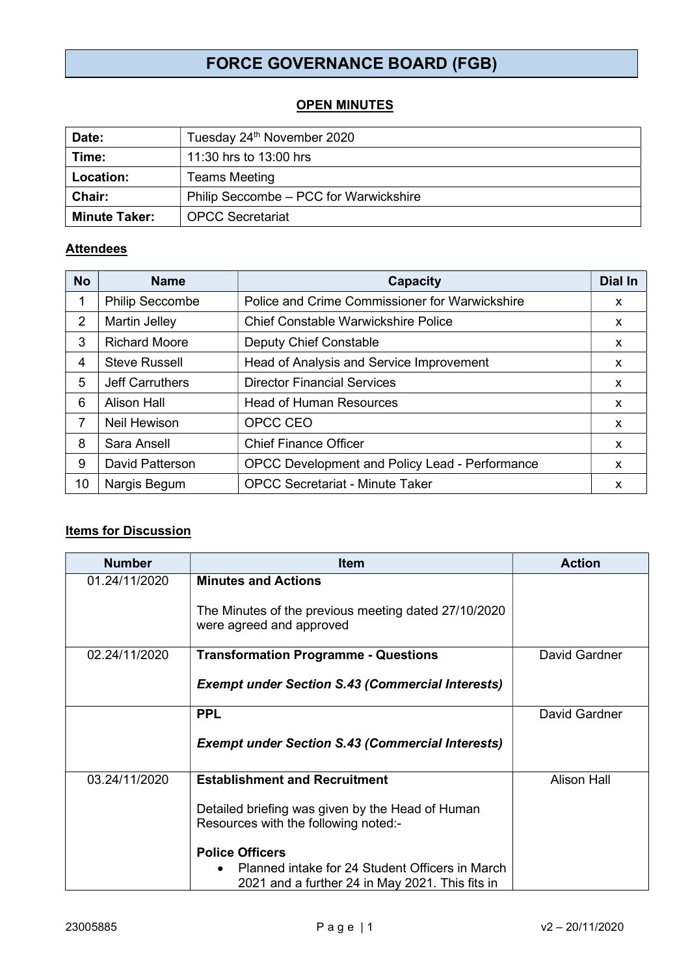## FORCE GOVERNANCE BOARD (FGB)

## **OPEN MINUTES**

| Date:                | Tuesday 24 <sup>th</sup> November 2020 |
|----------------------|----------------------------------------|
| Time:                | 11:30 hrs to 13:00 hrs                 |
| Location:            | <b>Teams Meeting</b>                   |
| <b>Chair:</b>        | Philip Seccombe - PCC for Warwickshire |
| <b>Minute Taker:</b> | <b>OPCC Secretariat</b>                |

## **Attendees**

| <b>No</b> | <b>Name</b>            | <b>Capacity</b>                                | Dial In |
|-----------|------------------------|------------------------------------------------|---------|
| 1         | <b>Philip Seccombe</b> | Police and Crime Commissioner for Warwickshire | X       |
| 2         | <b>Martin Jelley</b>   | <b>Chief Constable Warwickshire Police</b>     | X       |
| 3         | <b>Richard Moore</b>   | <b>Deputy Chief Constable</b>                  | X       |
| 4         | <b>Steve Russell</b>   | Head of Analysis and Service Improvement       | X       |
| 5         | <b>Jeff Carruthers</b> | <b>Director Financial Services</b>             | X.      |
| 6         | <b>Alison Hall</b>     | <b>Head of Human Resources</b>                 | X       |
| 7         | Neil Hewison           | OPCC CEO                                       | X       |
| 8         | Sara Ansell            | <b>Chief Finance Officer</b>                   | X       |
| 9         | <b>David Patterson</b> | OPCC Development and Policy Lead - Performance | X       |
| 10        | Nargis Begum           | <b>OPCC Secretariat - Minute Taker</b>         | X       |

## **Items for Discussion**

| <b>Number</b> | <b>Item</b>                                                                                                                                                                                                                                                      | <b>Action</b>      |
|---------------|------------------------------------------------------------------------------------------------------------------------------------------------------------------------------------------------------------------------------------------------------------------|--------------------|
| 01.24/11/2020 | <b>Minutes and Actions</b><br>The Minutes of the previous meeting dated 27/10/2020<br>were agreed and approved                                                                                                                                                   |                    |
| 02.24/11/2020 | <b>Transformation Programme - Questions</b><br><b>Exempt under Section S.43 (Commercial Interests)</b>                                                                                                                                                           | David Gardner      |
|               | <b>PPL</b><br><b>Exempt under Section S.43 (Commercial Interests)</b>                                                                                                                                                                                            | David Gardner      |
| 03.24/11/2020 | <b>Establishment and Recruitment</b><br>Detailed briefing was given by the Head of Human<br>Resources with the following noted:-<br><b>Police Officers</b><br>Planned intake for 24 Student Officers in March<br>2021 and a further 24 in May 2021. This fits in | <b>Alison Hall</b> |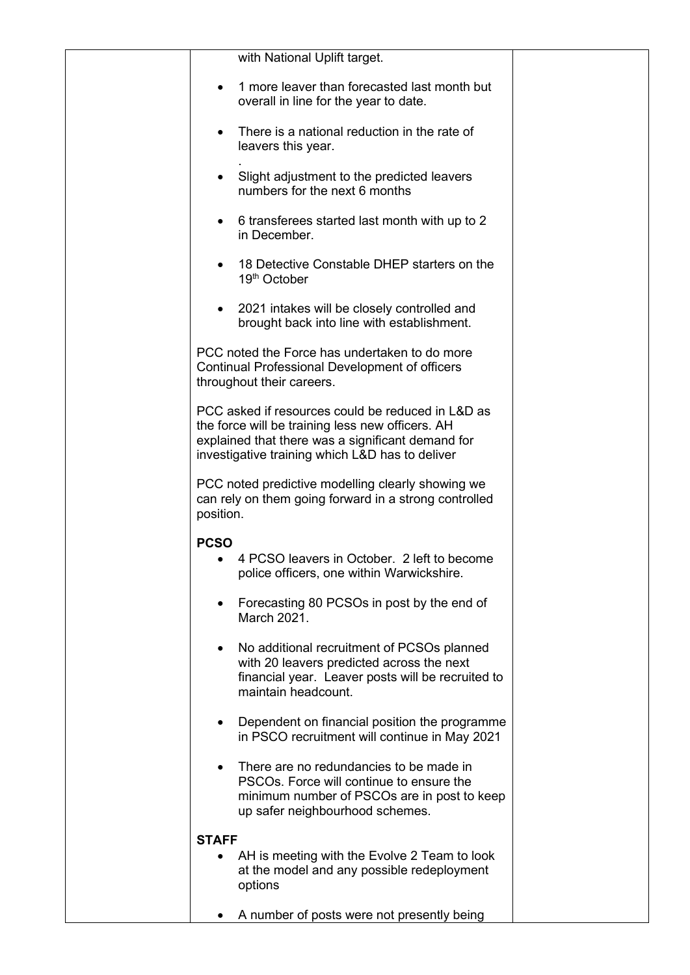| with National Uplift target.                                                                                                                                                                                  |  |
|---------------------------------------------------------------------------------------------------------------------------------------------------------------------------------------------------------------|--|
| 1 more leaver than forecasted last month but<br>$\bullet$<br>overall in line for the year to date.                                                                                                            |  |
| There is a national reduction in the rate of<br>$\bullet$<br>leavers this year.                                                                                                                               |  |
| Slight adjustment to the predicted leavers<br>numbers for the next 6 months                                                                                                                                   |  |
| 6 transferees started last month with up to 2<br>$\bullet$<br>in December.                                                                                                                                    |  |
| 18 Detective Constable DHEP starters on the<br>19 <sup>th</sup> October                                                                                                                                       |  |
| 2021 intakes will be closely controlled and<br>$\bullet$<br>brought back into line with establishment.                                                                                                        |  |
| PCC noted the Force has undertaken to do more<br>Continual Professional Development of officers<br>throughout their careers.                                                                                  |  |
| PCC asked if resources could be reduced in L&D as<br>the force will be training less new officers. AH<br>explained that there was a significant demand for<br>investigative training which L&D has to deliver |  |
| PCC noted predictive modelling clearly showing we<br>can rely on them going forward in a strong controlled<br>position.                                                                                       |  |
| <b>PCSO</b>                                                                                                                                                                                                   |  |
| 4 PCSO leavers in October. 2 left to become<br>police officers, one within Warwickshire.                                                                                                                      |  |
| Forecasting 80 PCSOs in post by the end of<br>$\bullet$<br>March 2021.                                                                                                                                        |  |
| No additional recruitment of PCSOs planned<br>$\bullet$<br>with 20 leavers predicted across the next<br>financial year. Leaver posts will be recruited to<br>maintain headcount.                              |  |
| Dependent on financial position the programme<br>$\bullet$<br>in PSCO recruitment will continue in May 2021                                                                                                   |  |
| There are no redundancies to be made in<br>PSCOs. Force will continue to ensure the<br>minimum number of PSCOs are in post to keep<br>up safer neighbourhood schemes.                                         |  |
| <b>STAFF</b>                                                                                                                                                                                                  |  |
| AH is meeting with the Evolve 2 Team to look<br>$\bullet$<br>at the model and any possible redeployment<br>options                                                                                            |  |
| A number of posts were not presently being                                                                                                                                                                    |  |